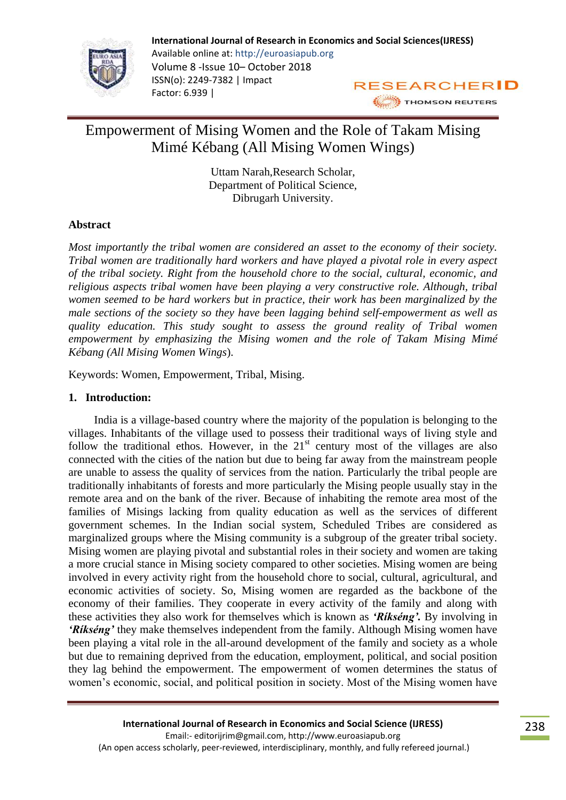

# Empowerment of Mising Women and the Role of Takam Mising Mimé Kébang (All Mising Women Wings)

Uttam Narah,Research Scholar, Department of Political Science, Dibrugarh University.

# **Abstract**

*Most importantly the tribal women are considered an asset to the economy of their society. Tribal women are traditionally hard workers and have played a pivotal role in every aspect of the tribal society. Right from the household chore to the social, cultural, economic, and religious aspects tribal women have been playing a very constructive role. Although, tribal women seemed to be hard workers but in practice, their work has been marginalized by the male sections of the society so they have been lagging behind self-empowerment as well as quality education. This study sought to assess the ground reality of Tribal women empowerment by emphasizing the Mising women and the role of Takam Mising Mimé Kébang (All Mising Women Wings*).

Keywords: Women, Empowerment, Tribal, Mising.

## **1. Introduction:**

 India is a village-based country where the majority of the population is belonging to the villages. Inhabitants of the village used to possess their traditional ways of living style and follow the traditional ethos. However, in the  $21<sup>st</sup>$  century most of the villages are also connected with the cities of the nation but due to being far away from the mainstream people are unable to assess the quality of services from the nation. Particularly the tribal people are traditionally inhabitants of forests and more particularly the Mising people usually stay in the remote area and on the bank of the river. Because of inhabiting the remote area most of the families of Misings lacking from quality education as well as the services of different government schemes. In the Indian social system, Scheduled Tribes are considered as marginalized groups where the Mising community is a subgroup of the greater tribal society. Mising women are playing pivotal and substantial roles in their society and women are taking a more crucial stance in Mising society compared to other societies. Mising women are being involved in every activity right from the household chore to social, cultural, agricultural, and economic activities of society. So, Mising women are regarded as the backbone of the economy of their families. They cooperate in every activity of the family and along with these activities they also work for themselves which is known as *'Ríkséng'.* By involving in *'Ríkséng'* they make themselves independent from the family. Although Mising women have been playing a vital role in the all-around development of the family and society as a whole but due to remaining deprived from the education, employment, political, and social position they lag behind the empowerment. The empowerment of women determines the status of women's economic, social, and political position in society. Most of the Mising women have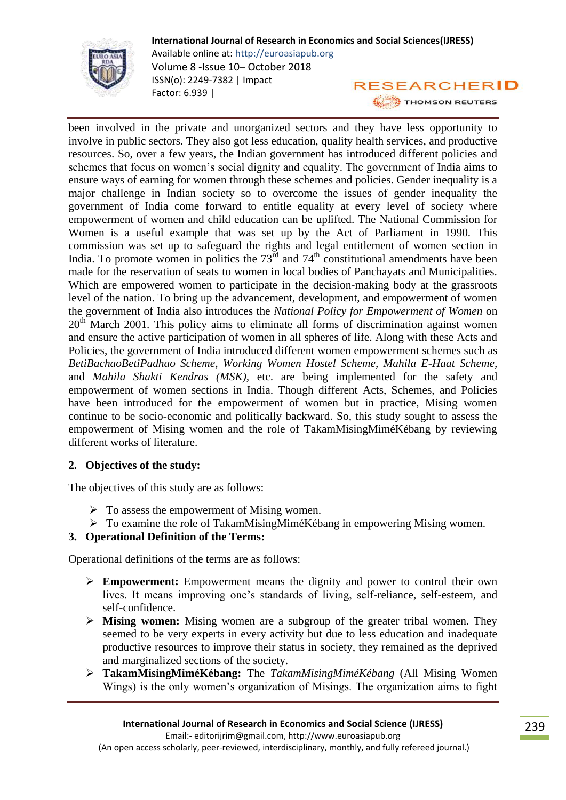

been involved in the private and unorganized sectors and they have less opportunity to involve in public sectors. They also got less education, quality health services, and productive resources. So, over a few years, the Indian government has introduced different policies and schemes that focus on women's social dignity and equality. The government of India aims to ensure ways of earning for women through these schemes and policies. Gender inequality is a major challenge in Indian society so to overcome the issues of gender inequality the government of India come forward to entitle equality at every level of society where empowerment of women and child education can be uplifted. The National Commission for Women is a useful example that was set up by the Act of Parliament in 1990. This commission was set up to safeguard the rights and legal entitlement of women section in India. To promote women in politics the  $73<sup>rd</sup>$  and  $74<sup>th</sup>$  constitutional amendments have been made for the reservation of seats to women in local bodies of Panchayats and Municipalities. Which are empowered women to participate in the decision-making body at the grassroots level of the nation. To bring up the advancement, development, and empowerment of women the government of India also introduces the *National Policy for Empowerment of Women* on  $20<sup>th</sup>$  March 2001. This policy aims to eliminate all forms of discrimination against women and ensure the active participation of women in all spheres of life. Along with these Acts and Policies, the government of India introduced different women empowerment schemes such as *BetiBachaoBetiPadhao Scheme, Working Women Hostel Scheme, Mahila E-Haat Scheme,* and *Mahila Shakti Kendras (MSK),* etc. are being implemented for the safety and empowerment of women sections in India. Though different Acts, Schemes, and Policies have been introduced for the empowerment of women but in practice, Mising women continue to be socio-economic and politically backward. So, this study sought to assess the empowerment of Mising women and the role of TakamMisingMiméKébang by reviewing different works of literature.

# **2. Objectives of the study:**

The objectives of this study are as follows:

- $\triangleright$  To assess the empowerment of Mising women.
- To examine the role of TakamMisingMiméKébang in empowering Mising women.

# **3. Operational Definition of the Terms:**

Operational definitions of the terms are as follows:

- **Empowerment:** Empowerment means the dignity and power to control their own lives. It means improving one's standards of living, self-reliance, self-esteem, and self-confidence.
- **Mising women:** Mising women are a subgroup of the greater tribal women. They seemed to be very experts in every activity but due to less education and inadequate productive resources to improve their status in society, they remained as the deprived and marginalized sections of the society.
- **TakamMisingMiméKébang:** The *TakamMisingMiméKébang* (All Mising Women Wings) is the only women's organization of Misings. The organization aims to fight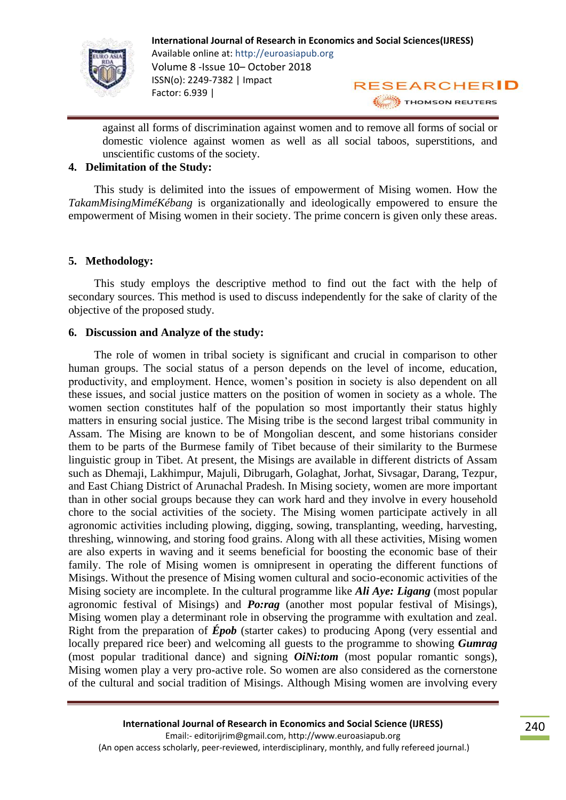

against all forms of discrimination against women and to remove all forms of social or domestic violence against women as well as all social taboos, superstitions, and unscientific customs of the society.

### **4. Delimitation of the Study:**

 This study is delimited into the issues of empowerment of Mising women. How the *TakamMisingMiméKébang* is organizationally and ideologically empowered to ensure the empowerment of Mising women in their society. The prime concern is given only these areas.

#### **5. Methodology:**

 This study employs the descriptive method to find out the fact with the help of secondary sources. This method is used to discuss independently for the sake of clarity of the objective of the proposed study.

### **6. Discussion and Analyze of the study:**

 The role of women in tribal society is significant and crucial in comparison to other human groups. The social status of a person depends on the level of income, education, productivity, and employment. Hence, women's position in society is also dependent on all these issues, and social justice matters on the position of women in society as a whole. The women section constitutes half of the population so most importantly their status highly matters in ensuring social justice. The Mising tribe is the second largest tribal community in Assam. The Mising are known to be of Mongolian descent, and some historians consider them to be parts of the Burmese family of Tibet because of their similarity to the Burmese linguistic group in Tibet. At present, the Misings are available in different districts of Assam such as Dhemaji, Lakhimpur, Majuli, Dibrugarh, Golaghat, Jorhat, Sivsagar, Darang, Tezpur, and East Chiang District of Arunachal Pradesh. In Mising society, women are more important than in other social groups because they can work hard and they involve in every household chore to the social activities of the society. The Mising women participate actively in all agronomic activities including plowing, digging, sowing, transplanting, weeding, harvesting, threshing, winnowing, and storing food grains. Along with all these activities, Mising women are also experts in waving and it seems beneficial for boosting the economic base of their family. The role of Mising women is omnipresent in operating the different functions of Misings. Without the presence of Mising women cultural and socio-economic activities of the Mising society are incomplete. In the cultural programme like *Ali Aye: Ligang* (most popular agronomic festival of Misings) and *Po:rag* (another most popular festival of Misings), Mising women play a determinant role in observing the programme with exultation and zeal. Right from the preparation of *Épob* (starter cakes) to producing Apong (very essential and locally prepared rice beer) and welcoming all guests to the programme to showing *Gumrag* (most popular traditional dance) and signing *OiNi:tom* (most popular romantic songs), Mising women play a very pro-active role. So women are also considered as the cornerstone of the cultural and social tradition of Misings. Although Mising women are involving every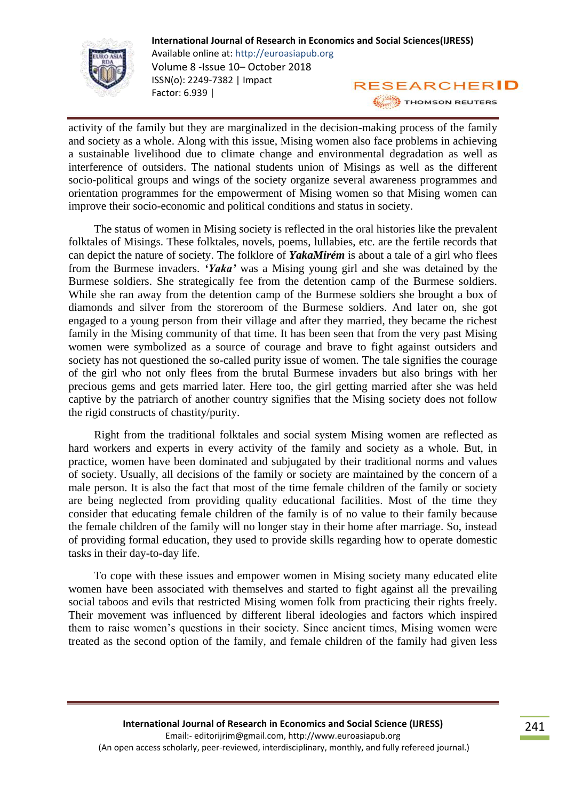

activity of the family but they are marginalized in the decision-making process of the family and society as a whole. Along with this issue, Mising women also face problems in achieving a sustainable livelihood due to climate change and environmental degradation as well as interference of outsiders. The national students union of Misings as well as the different socio-political groups and wings of the society organize several awareness programmes and orientation programmes for the empowerment of Mising women so that Mising women can improve their socio-economic and political conditions and status in society.

 The status of women in Mising society is reflected in the oral histories like the prevalent folktales of Misings. These folktales, novels, poems, lullabies, etc. are the fertile records that can depict the nature of society. The folklore of *YakaMirém* is about a tale of a girl who flees from the Burmese invaders. *'Yaka'* was a Mising young girl and she was detained by the Burmese soldiers. She strategically fee from the detention camp of the Burmese soldiers. While she ran away from the detention camp of the Burmese soldiers she brought a box of diamonds and silver from the storeroom of the Burmese soldiers. And later on, she got engaged to a young person from their village and after they married, they became the richest family in the Mising community of that time. It has been seen that from the very past Mising women were symbolized as a source of courage and brave to fight against outsiders and society has not questioned the so-called purity issue of women. The tale signifies the courage of the girl who not only flees from the brutal Burmese invaders but also brings with her precious gems and gets married later. Here too, the girl getting married after she was held captive by the patriarch of another country signifies that the Mising society does not follow the rigid constructs of chastity/purity.

 Right from the traditional folktales and social system Mising women are reflected as hard workers and experts in every activity of the family and society as a whole. But, in practice, women have been dominated and subjugated by their traditional norms and values of society. Usually, all decisions of the family or society are maintained by the concern of a male person. It is also the fact that most of the time female children of the family or society are being neglected from providing quality educational facilities. Most of the time they consider that educating female children of the family is of no value to their family because the female children of the family will no longer stay in their home after marriage. So, instead of providing formal education, they used to provide skills regarding how to operate domestic tasks in their day-to-day life.

 To cope with these issues and empower women in Mising society many educated elite women have been associated with themselves and started to fight against all the prevailing social taboos and evils that restricted Mising women folk from practicing their rights freely. Their movement was influenced by different liberal ideologies and factors which inspired them to raise women's questions in their society. Since ancient times, Mising women were treated as the second option of the family, and female children of the family had given less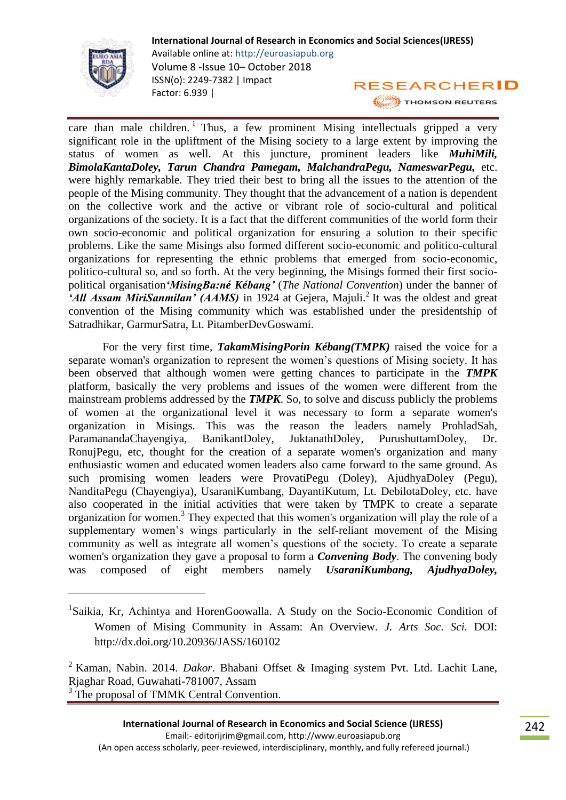

**.** 

**International Journal of Research in Economics and Social Sciences(IJRESS)** Available online at: http://euroasiapub.org Volume 8 -Issue 10– October 2018 ISSN(o): 2249-7382 | Impact **RESEARCHERID** Factor: 6.939 | THOMSON REUTERS

care than male children.<sup>1</sup> Thus, a few prominent Mising intellectuals gripped a very significant role in the upliftment of the Mising society to a large extent by improving the status of women as well. At this juncture, prominent leaders like *MuhiMili, BimolaKantaDoley, Tarun Chandra Pamegam, MalchandraPegu, NameswarPegu,* etc. were highly remarkable. They tried their best to bring all the issues to the attention of the people of the Mising community. They thought that the advancement of a nation is dependent on the collective work and the active or vibrant role of socio-cultural and political organizations of the society. It is a fact that the different communities of the world form their own socio-economic and political organization for ensuring a solution to their specific problems. Like the same Misings also formed different socio-economic and politico-cultural organizations for representing the ethnic problems that emerged from socio-economic, politico-cultural so, and so forth. At the very beginning, the Misings formed their first sociopolitical organisation*'MisingBa:né Kébang'* (*The National Convention*) under the banner of *All Assam MiriSanmilan' (AAMS)* in 1924 at Gejera, Majuli.<sup>2</sup> It was the oldest and great convention of the Mising community which was established under the presidentship of Satradhikar, GarmurSatra, Lt. PitamberDevGoswami.

For the very first time, *TakamMisingPorin Kébang(TMPK)* raised the voice for a separate woman's organization to represent the women's questions of Mising society. It has been observed that although women were getting chances to participate in the *TMPK* platform, basically the very problems and issues of the women were different from the mainstream problems addressed by the *TMPK*. So, to solve and discuss publicly the problems of women at the organizational level it was necessary to form a separate women's organization in Misings. This was the reason the leaders namely ProhladSah, ParamanandaChayengiya, BanikantDoley, JuktanathDoley, PurushuttamDoley, Dr. RonujPegu, etc, thought for the creation of a separate women's organization and many enthusiastic women and educated women leaders also came forward to the same ground. As such promising women leaders were ProvatiPegu (Doley), AjudhyaDoley (Pegu), NanditaPegu (Chayengiya), UsaraniKumbang, DayantiKutum, Lt. DebilotaDoley, etc. have also cooperated in the initial activities that were taken by TMPK to create a separate organization for women.<sup>3</sup> They expected that this women's organization will play the role of a supplementary women's wings particularly in the self-reliant movement of the Mising community as well as integrate all women's questions of the society. To create a separate women's organization they gave a proposal to form a *Convening Body*. The convening body was composed of eight members namely *UsaraniKumbang, AjudhyaDoley,* 

<sup>&</sup>lt;sup>1</sup>Saikia, Kr, Achintya and HorenGoowalla. A Study on the Socio-Economic Condition of Women of Mising Community in Assam: An Overview. *J. Arts Soc. Sci.* DOI: http://dx.doi.org/10.20936/JASS/160102

<sup>2</sup> Kaman, Nabin. 2014. *Dakor*. Bhabani Offset & Imaging system Pvt. Ltd. Lachit Lane, Rjaghar Road, Guwahati-781007, Assam <sup>3</sup> The proposal of TMMK Central Convention.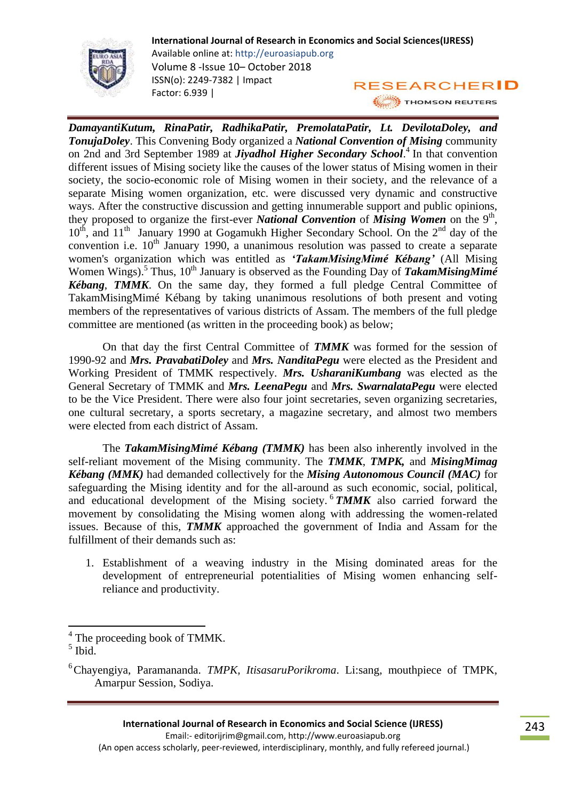

*DamayantiKutum, RinaPatir, RadhikaPatir, PremolataPatir, Lt. DevilotaDoley, and TonujaDoley*. This Convening Body organized a *National Convention of Mising* community on 2nd and 3rd September 1989 at *Jiyadhol Higher Secondary School*. 4 In that convention different issues of Mising society like the causes of the lower status of Mising women in their society, the socio-economic role of Mising women in their society, and the relevance of a separate Mising women organization, etc. were discussed very dynamic and constructive ways. After the constructive discussion and getting innumerable support and public opinions, they proposed to organize the first-ever *National Convention* of *Mising Women* on the 9<sup>th</sup>,  $10<sup>th</sup>$ , and  $11<sup>th</sup>$  January 1990 at Gogamukh Higher Secondary School. On the  $2<sup>nd</sup>$  day of the convention i.e.  $10^{th}$  January 1990, a unanimous resolution was passed to create a separate women's organization which was entitled as *'TakamMisingMimé Kébang'* (All Mising Women Wings).<sup>5</sup> Thus, 10<sup>th</sup> January is observed as the Founding Day of *TakamMisingMimé Kébang*, *TMMK*. On the same day, they formed a full pledge Central Committee of TakamMisingMimé Kébang by taking unanimous resolutions of both present and voting members of the representatives of various districts of Assam. The members of the full pledge committee are mentioned (as written in the proceeding book) as below;

On that day the first Central Committee of *TMMK* was formed for the session of 1990-92 and *Mrs. PravabatiDoley* and *Mrs. NanditaPegu* were elected as the President and Working President of TMMK respectively. *Mrs. UsharaniKumbang* was elected as the General Secretary of TMMK and *Mrs. LeenaPegu* and *Mrs. SwarnalataPegu* were elected to be the Vice President. There were also four joint secretaries, seven organizing secretaries, one cultural secretary, a sports secretary, a magazine secretary, and almost two members were elected from each district of Assam.

The *TakamMisingMimé Kébang (TMMK)* has been also inherently involved in the self-reliant movement of the Mising community. The *TMMK*, *TMPK,* and *MisingMimag Kébang (MMK)* had demanded collectively for the *Mising Autonomous Council (MAC)* for safeguarding the Mising identity and for the all-around as such economic, social, political, and educational development of the Mising society. <sup>6</sup> *TMMK* also carried forward the movement by consolidating the Mising women along with addressing the women-related issues. Because of this, *TMMK* approached the government of India and Assam for the fulfillment of their demands such as:

1. Establishment of a weaving industry in the Mising dominated areas for the development of entrepreneurial potentialities of Mising women enhancing selfreliance and productivity.

 4 The proceeding book of TMMK.

<sup>5</sup> Ibid.

<sup>6</sup>Chayengiya, Paramananda. *TMPK, ItisasaruPorikroma*. Li:sang, mouthpiece of TMPK, Amarpur Session, Sodiya.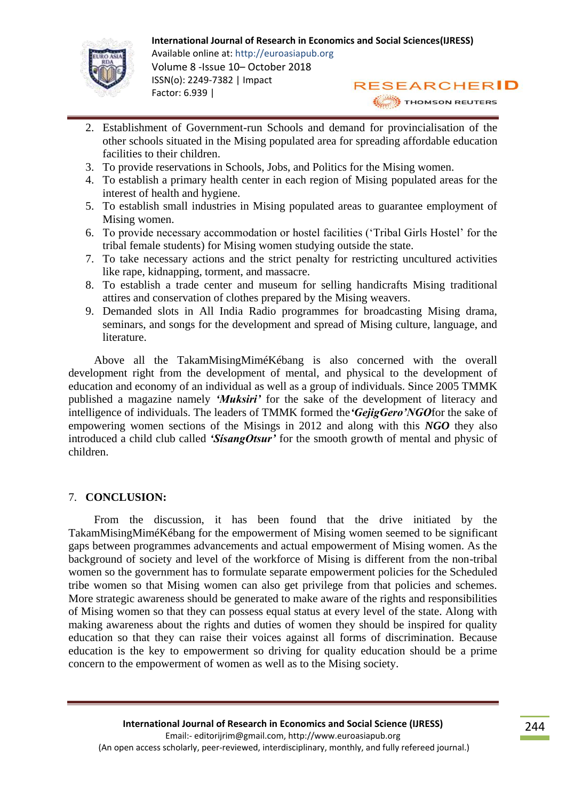

- 2. Establishment of Government-run Schools and demand for provincialisation of the other schools situated in the Mising populated area for spreading affordable education facilities to their children.
- 3. To provide reservations in Schools, Jobs, and Politics for the Mising women.
- 4. To establish a primary health center in each region of Mising populated areas for the interest of health and hygiene.
- 5. To establish small industries in Mising populated areas to guarantee employment of Mising women.
- 6. To provide necessary accommodation or hostel facilities ('Tribal Girls Hostel' for the tribal female students) for Mising women studying outside the state.
- 7. To take necessary actions and the strict penalty for restricting uncultured activities like rape, kidnapping, torment, and massacre.
- 8. To establish a trade center and museum for selling handicrafts Mising traditional attires and conservation of clothes prepared by the Mising weavers.
- 9. Demanded slots in All India Radio programmes for broadcasting Mising drama, seminars, and songs for the development and spread of Mising culture, language, and literature.

 Above all the TakamMisingMiméKébang is also concerned with the overall development right from the development of mental, and physical to the development of education and economy of an individual as well as a group of individuals. Since 2005 TMMK published a magazine namely *'Muksiri'* for the sake of the development of literacy and intelligence of individuals. The leaders of TMMK formed the*'GejigGero'NGO*for the sake of empowering women sections of the Misings in 2012 and along with this *NGO* they also introduced a child club called *'SísangOtsur'* for the smooth growth of mental and physic of children.

# 7. **CONCLUSION:**

 From the discussion, it has been found that the drive initiated by the TakamMisingMiméKébang for the empowerment of Mising women seemed to be significant gaps between programmes advancements and actual empowerment of Mising women. As the background of society and level of the workforce of Mising is different from the non-tribal women so the government has to formulate separate empowerment policies for the Scheduled tribe women so that Mising women can also get privilege from that policies and schemes. More strategic awareness should be generated to make aware of the rights and responsibilities of Mising women so that they can possess equal status at every level of the state. Along with making awareness about the rights and duties of women they should be inspired for quality education so that they can raise their voices against all forms of discrimination. Because education is the key to empowerment so driving for quality education should be a prime concern to the empowerment of women as well as to the Mising society.